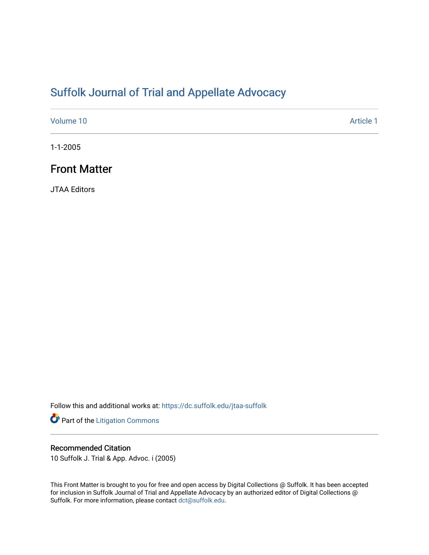## [Suffolk Journal of Trial and Appellate Advocacy](https://dc.suffolk.edu/jtaa-suffolk)

[Volume 10](https://dc.suffolk.edu/jtaa-suffolk/vol10) [Article 1](https://dc.suffolk.edu/jtaa-suffolk/vol10/iss1/1) 

1-1-2005

## Front Matter

JTAA Editors

Follow this and additional works at: [https://dc.suffolk.edu/jtaa-suffolk](https://dc.suffolk.edu/jtaa-suffolk?utm_source=dc.suffolk.edu%2Fjtaa-suffolk%2Fvol10%2Fiss1%2F1&utm_medium=PDF&utm_campaign=PDFCoverPages) 

Part of the [Litigation Commons](http://network.bepress.com/hgg/discipline/910?utm_source=dc.suffolk.edu%2Fjtaa-suffolk%2Fvol10%2Fiss1%2F1&utm_medium=PDF&utm_campaign=PDFCoverPages)

#### Recommended Citation

10 Suffolk J. Trial & App. Advoc. i (2005)

This Front Matter is brought to you for free and open access by Digital Collections @ Suffolk. It has been accepted for inclusion in Suffolk Journal of Trial and Appellate Advocacy by an authorized editor of Digital Collections @ Suffolk. For more information, please contact [dct@suffolk.edu.](mailto:dct@suffolk.edu)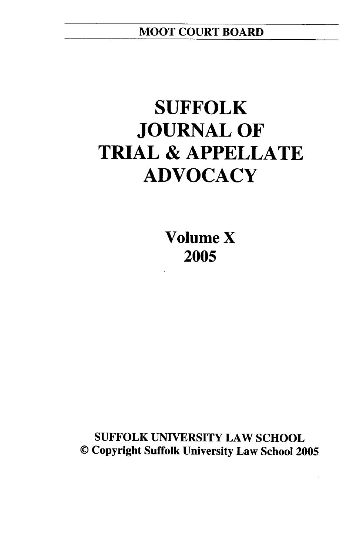# **SUFFOLK JOURNAL OF TRIAL & APPELLATE ADVOCACY**

**Volume X 2005**

**SUFFOLK UNIVERSITY** LAW **SCHOOL ©** Copyright Suffolk University Law School **2005**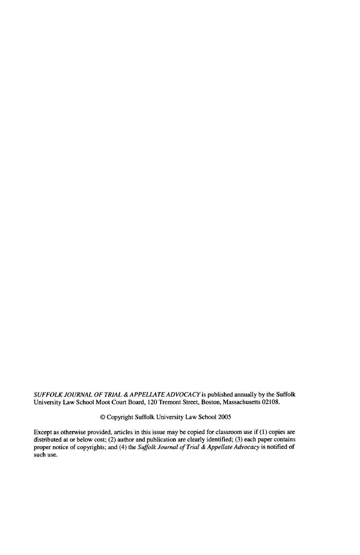*SUFFOLK JOURNAL OF TRIAL & APPELLATE ADVOCACY* is published annually by the Suffolk University Law School Moot Court Board, 120 Tremont Street, Boston, Massachusetts 02108.

© Copyright Suffolk University Law School 2005

Except as otherwise provided, articles in this issue may be copied for classroom use if **(1)** copies are distributed at or below cost; (2) author and publication are clearly identified; (3) each paper contains proper notice of copyrights; and (4) the *Suffolk Journal of Trial & Appellate Advocacy* is notified of such use.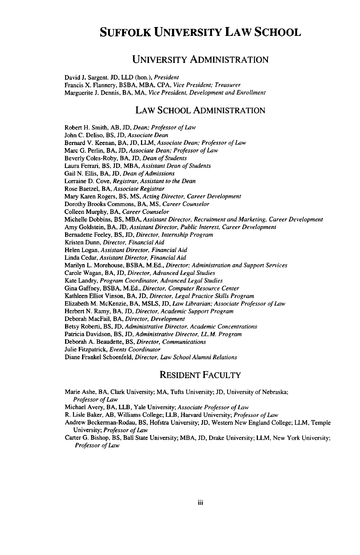## **SUFFOLK UNIVERSITY LAW SCHOOL**

#### UNIVERSITY **ADMINISTRATION**

David **J.** Sargent. **JD,** LLD (hon.), *President* Francis X. Flannery, BSBA, MBA, **CPA,** *Vice President; Treasurer* Marguerite **J.** Dennis, BA, MA, *Vice President, Development and Enrollment*

#### LAW SCHOOL ADMINISTRATION

Robert H. Smith, AB, **JD,** *Dean; Professor of Law* John C. Deliso, BS, JD, *Associate Dean* Bernard V. Keenan, BA, JD, LLM, *Associate Dean; Professor of Law* Marc G. Perlin, BA, JD, *Associate Dean; Professor of Law* Beverly Coles-Roby, BA, JD, *Dean of Students* Laura Ferrari, BS, JD, MBA, *Assistant Dean of Students* Gail N. Ellis, BA, JD, *Dean of Admissions* Lorraine D. Cove, *Registrar, Assistant to the Dean* Rose Baetzel, BA, *Associate Registrar* Mary Karen Rogers, BS, **MS,** *Acting Director, Career Development* Dorothy Brooks Commons, BA, **MS,** *Career Counselor* Colleen Murphy, BA, *Career Counselor* Michelle Dobbins, BS, MBA, *Assistant Director, Recruitment and Marketing, Career Development* Amy Goldstein, BA, JD, *Assistant Director, Public Interest, Career Development* Bernadette Feeley, BS, JD, *Director, Internship Program* Kristen Dunn, *Director, Financial Aid* Helen Logan, *Assistant Director, Financial Aid* Linda Cedar, *Assistant Director, Financial Aid* Marilyn L. Morehouse, BSBA, M.Ed., *Director; Administration and Support Services* Carole Wagan, BA, JD, *Director, Advanced Legal Studies* Kate Landry, *Program Coordinator, Advanced Legal Studies* Gina Gaffney, BSBA, M.Ed., *Director, Computer Resource Center* Kathleen Elliot Vinson, BA, JD, *Director, Legal Practice Skills Program* Elizabeth M. McKenzie, BA, MSLS, JD, *Law Librarian; Associate Professor of Law* Herbert N. Ramy, BA, JD, *Director, Academic Support Program* Deborah MacFail, BA, *Director, Development* Betsy Roberti, BS, **JD,** *Administrative Director, Academic Concentrations* Patricia Davidson, BS, JD, *Administrative Director, LLM. Program* Deborah A. Beaudette, BS, *Director, Communications* Julie Fitzpatrick, *Events Coordinator* Diane Frankel Schoenfeld, *Director, Law School Alumni Relations*

#### RESIDENT FACULTY

Marie Ashe, BA, Clark University; MA, Tufts University; JD, University of Nebraska; *Professor of Law*

Michael Avery, BA, LLB, Yale University; *Associate Professor of Law*

R. Lisle Baker, AB, Williams College; LLB, Harvard University; *Professor of Law*

Andrew Beckerman-Rodau, BS, Hofstra University; JD, Western New England College; LLM, Temple University; *Professor of Law*

Carter G. Bishop, BS, Ball State University; MBA, JD, Drake University; LLM, New York University; *Professor of Law*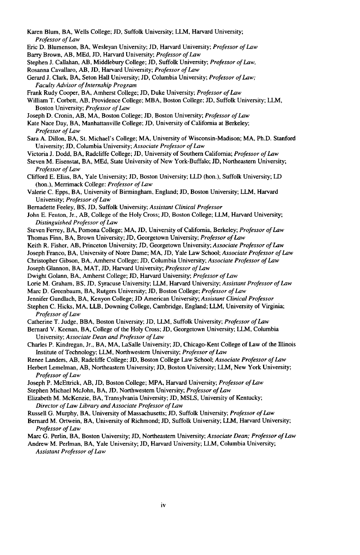- Karen Blum, BA, Wells College; JD, Suffolk University; LLM, Harvard University; *Professor of Law*
- Eric D. Blumenson, BA, Wesleyan University; **JD,** Harvard University; *Professor of Law* Barry Brown, AB, MEd, JD, Harvard University; *Professor of Law*
- Stephen J. Callahan, AB, Middlebury College; JD, Suffolk University; *Professor of Law,*
- Rosanna Cavallaro, AB, JD, Harvard University; *Professor of Law*
- Gerard J. Clark, BA, Seton Hall University; JD, Columbia University; *Professor of Law; Faculty Advisor of Internship Program*
- Frank Rudy Cooper, BA, Amherst College; JD, Duke University; *Professor of Law*
- William T. Corbett, AB, Providence College; MBA, Boston College; JD, Suffolk University; LLM, Boston University; *Professor of Law*
- Joseph D. Cronin, AB, MA, Boston College; JD, Boston University; *Professor of Law*
- Kate Nace Day, BA, Manhattanville College; **JD,** University of California at Berkeley; *Professor of Law*
- Sara A. Dillon, BA, St. Michael's College; MA, University of Wisconsin-Madison; MA, Ph.D. Stanford University; JD, Columbia University; *Associate Professor of Law*
- Victoria J. Dodd, BA, Radcliffe College; JD, University of Southern California; *Professor of Law*
- Steven M. Eisenstat, BA, MEd, State University of New York-Buffalo; JD, Northeastern University; *Professor of Law*
- Clifford E. Elias, BA, Yale University; **JD,** Boston University; LLD (hon.), Suffolk University; LD (hon.), Merrimack College: *Professor of Law*
- Valerie C. Epps, BA, University of Birmingham, England; JD, Boston University; LLM, Harvard University; *Professor of Law*
- Bernadette Feeley, BS, **JD,** Suffolk University; *Assistant Clinical Professor*
- John E. Fenton, Jr., AB, College of the Holy Cross; JD, Boston College; LLM, Harvard University; *Distinguished Professor of Law*
- Steven Ferrey, BA, Pomona College; MA, JD, University of California, Berkeley; *Professor of Law* Thomas Finn, BA, Brown University; **JD,** Georgetown University; *Professor of Law*
- Keith R. Fisher, AB, Princeton University; JD, Georgetown University; *Associate Professor of Law*
- Joseph Franco, BA, University of Notre Dame; MA, JD, Yale Law School; *Associate Professor of Law*
- Christopher Gibson, BA, Amherst College; JD, Columbia University; *Associate Professor of Law*
- Joseph Glannon, BA, MAT, JD, Harvard University; *Professor of Law*
- Dwight Golann, BA, Amherst College; JD, Harvard University; *Professor of Law*
- Lorie M. Graham, BS, JD, Syracuse University; LLM, Harvard University; *Assistant Professor of Law*
- Marc D. Greenbaum, BA, Rutgers University; **JD,** Boston College; *Professor of Law*
- Jennifer Gundlach, BA, Kenyon College; JD American University; *Assistant Clinical Professor*
- Stephen C. Hicks, MA, LLB, Downing College, Cambridge, England; LLM, University of Virginia; *Professor of Law*
- Catherine T. Judge, BBA, Boston University; **JD,** LLM, Suffolk University; *Professor of Law*
- Bernard V. Keenan, BA, College of the Holy Cross; **JD,** Georgetown University; LLM, Columbia University; *Associate Dean and Professor of Law*
- Charles P. Kindregan, Jr., BA, MA, LaSalle University; **JD,** Chicago-Kent College of Law of the Illinois Institute of Technology; LLM, Northwestern University; *Professor of Law*
- Renee Landers, *AB,* Radcliffe College; **JD,** Boston College Law School; *Associate Professor of Law*
- Herbert Lemelman, AB, Northeastern University; **JD,** Boston University; LLM, New York University; *Professor of Law*
- Joseph P. McEttrick, AB, JD, Boston College; MPA, Harvard University; *Professor of Law*
- Stephen Michael McJohn, BA, JD, Northwestern University; *Professor of Law*
- Elizabeth M. McKenzie, BA, Transylvania University; JD, MSLS, University of Kentucky; *Director of Law Library and Associate Professor of Law*
- Russell G. Murphy, BA, University of Massachusetts; **JD,** Suffolk University; *Professor of Law*
- Bernard M. Ortwein, BA, University of Richmond; JD, Suffolk University; LLM, Harvard University; *Professor of Law*
- Marc G. Perlin, BA, Boston University; **JD,** Northeastern University; *Associate Dean; Professor of Law*
- Andrew M. Perlman, BA, Yale University; JD, Harvard University; LLM, Columbia University; *Assistant Professor of Law*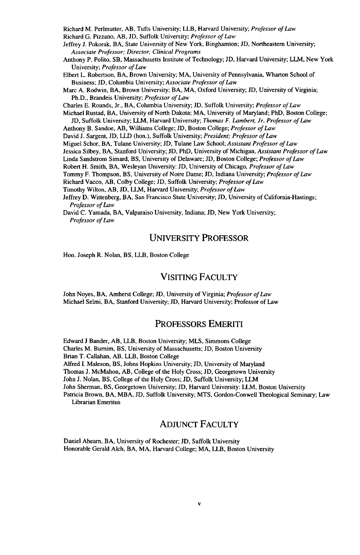Richard M. Perlmutter, AB, Tufts University; LLB, Harvard University; *Professor of Law* Richard G. Pizzano, AB, JD, Suffolk University; *Professor of Law*

Jeffrey J. Pokorak, BA, State University of New York, Binghamton; JD, Northeastern University; *Associate Professor; Director, Clinical Programs*

Anthony P. Polito, SB, Massachusetts Institute of Technology; JD, Harvard University; LLM, New York University; *Professor of Law*

Elbert L. Robertson, BA, Brown University; MA, University of Pennsylvania, Wharton School of Business; JD, Columbia University; *Associate Professor of Law*

Marc A. Rodwin, BA, Brown University; BA, MA, Oxford University; JD, University of Virginia; Ph.D., Brandeis University; *Professor of Law*

Charles E. Rounds, Jr., BA, Columbia University; JD, Suffolk University; *Professor of Law*

Michael Rustad, BA, University of North Dakota; MA, University of Maryland; PhD, Boston College; **JD,** Suffolk University; LLM, Harvard University; *Thomas F. Lambert, Jr. Professor of Law*

Anthony B. Sandoe, AB, Williams College; **JD,** Boston College; *Professor of Law*

David J. Sargent, JD, LLD (hon.), Suffolk University; *President; Professor of Law*

Miguel Schor, BA, Tulane University; JD, Tulane Law School; *Assistant Professor of Law*

Jessica Silbey, BA, Stanford University; **JD,** PhD, University of Michigan, *Assistant Professor of Law*

Linda Sandstrom Simard, BS, University of Delaware; JD, Boston College; *Professor of Law*

Robert H. Smith, BA, Wesleyan University: JD, University of Chicago, *Professor of Law*

Tommy F. Thompson, BS, University of Notre Dame; JD, Indiana University; *Professor of Law*

Richard Vacco, AB, Colby College; JD, Suffolk University; *Professor of Law*

Timothy Wilton, AB, JD, LLM, Harvard University; *Professor of Law*

Jeffrey D. Wittenberg, BA, San Francisco State University; **JD,** University of California-Hastings; *Professor of Law*

David C. Yamada, BA, Valparaiso University, Indiana; JD, New York University; *Professor of Law*

#### UNIVERSITY PROFESSOR

Hon. Joseph R. Nolan, BS, LLB, Boston College

#### VISITING FACULTY

John Noyes, BA, Amherst College; JD, University of Virginia; *Professor of Law* Michael Selmi, BA, Stanford University; JD, Harvard University; Professor of Law

#### PROFESSORS EMERITI

Edward J Bander, AB, LLB, Boston University; MLS, Simmons College Charles M. Burnim, BS, University of Massachusetts; JD, Boston University Brian T. Callahan, AB, LLB, Boston College Alfred I. Maleson, BS, Johns Hopkins University; JD, University of Maryland Thomas J. McMahon, AB, College of the Holy Cross; **JD,** Georgetown University John J. Nolan, BS, College of the Holy Cross; JD, Suffolk University; LLM John Sherman, BS, Georgetown University; JD, Harvard University: LLM, Boston University Patricia Brown, BA, MBA, JD, Suffolk University; MTS, Gordon-Conwell Theological Seminary; Law Librarian Emeritus

#### ADJUNCT FACULTY

Daniel Ahearn, BA, University of Rochester; JD, Suffolk University Honorable Gerald Alch, BA, MA, Harvard College; MA, LLB, Boston University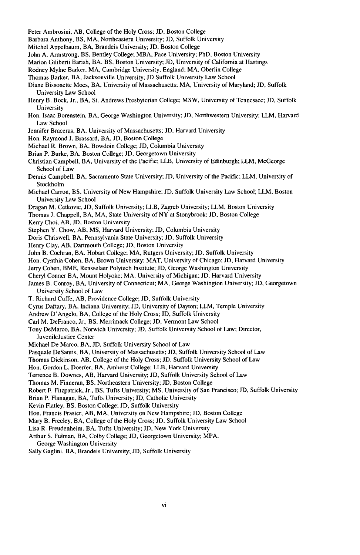- Peter Ambrosini, AB, College of the Holy Cross; **JD,** Boston College
- Barbara Anthony, BS, MA, Northeastern University; **JD,** Suffolk University
- Mitchel Appelbaum, BA, Brandeis University; JD, Boston College
- John A. Armstrong, BS, Bentley College; MBA, Pace University; PhD, Boston University
- Marion Giliberti Barish, BA, BS, Boston University; JD, University of California at Hastings
- Rodney Mylne Barker, MA, Cambridge University, England; MA, Oberlin College
- Thomas Barker, BA, Jacksonville University; JD Suffolk University Law School
- Diane Bissonette Moes, BA, University of Massachusetts; MA, University of Maryland; JD, Suffolk University Law School
- Henry B. Bock, Jr., BA, St. Andrews Presbyterian College; MSW, University of Tennessee; JD, Suffolk University
- Hon. Isaac Borenstein, BA, George Washington University; JD, Northwestern University: LLM, Harvard Law School
- Jennifer Braceras, BA, University of Massachusetts; JD, Harvard University
- Hon. Raymond J. Brassard, BA, JD, Boston College

Michael R. Brown, BA, Bowdoin College; JD, Columbia University

- Brian P. Burke, BA, Boston College; **JD,** Georgetown University
- Christian Campbell, BA, University of the Pacific; LLB, University of Edinburgh; LLM, McGeorge School of Law
- Dennis Campbell, BA, Sacramento State University; **JD,** University of the Pacific; LLM, University of Stockholm
- Michael Carron, BS, University of New Hampshire; JD, Suffolk University Law School; LLM, Boston University Law School
- Dragan M. Cetkovic. JD, Suffolk University; LLB, Zagreb University; LLM, Boston University
- Thomas J. Chappell, BA, MA, State University of NY at Stonybrook; JD, Boston College
- Kerry Choi, AB, JD, Boston University
- Stephen Y Chow, AB, **MS,** Harvard University; JD, Columbia University
- Doris Chriswell, BA, Pennsylvania State University; JD, Suffolk University
- Henry Clay, AB, Dartmouth College; JD, Boston University
- John B. Cochran, BA, Hobart College; MA, Rutgers University; JD, Suffolk University
- Hon. Cynthia Cohen, BA, Brown University; MAT, University of Chicago; JD, Harvard University
- Jerry Cohen, BME, Rensselaer Polytech Institute; JD, George Washington University
- Cheryl Conner BA, Mount Holyoke; MA, University of Michigan; **JD,** Harvard University
- James B. Conroy, BA, University of Connecticut; MA, George Washington University; **JD,** Georgetown University School of Law
- T. Richard Cuffe, AB, Providence College; JD, Suffolk University
- Cyrus Daftary, BA, Indiana University; JD, University of Dayton; LLM, Temple University
- Andrew D'Angelo, BA, College of the Holy Cross; JD, Suffolk University
- Carl M. DeFranco, Jr., BS, Merrimack College; JD, Vermont Law School
- Tony DeMarco, BA, Norwich University; JD, Suffolk University School of Law; Director, JuvenileJustice Center
- Michael De Marco, BA, JD. Suffolk University School of Law
- Pasquale DeSantis, BA, University of Massachusetts; **JD,** Suffolk University School of Law
- Thomas Dickinson, AB, College of the Holy Cross; JD, Suffolk University School of Law

Hon. Gordon L. Doerfer, BA, Amherst College; LLB, Harvard University

- Terrence B. Downes, AB, Harvard University; JD, Suffolk University School of Law
- Thomas M. Finneran, BS, Northeastern University; JD, Boston College
- Robert F. Fitzpatrick, Jr., BS, Tufts University; **MS,** University of San Francisco; JD, Suffolk University
- Brian P. Flanagan, BA, Tufts University; JD, Catholic University
- Kevin Flatley, BS, Boston College; JD, Suffolk University
- Hon. Francis Frasier, AB, MA, University on New Hampshire; JD, Boston College
- Mary B. Freeley, BA, College of the Holy Cross; JD, Suffolk University Law School
- Lisa R. Freudenheim, BA, Tufts University; **JD,** New York University
- Arthur S. Fulman, BA, Colby College; JD, Georgetown University; MPA,
- George Washington University
- Sally Gaglini, BA, Brandeis University; JD, Suffolk University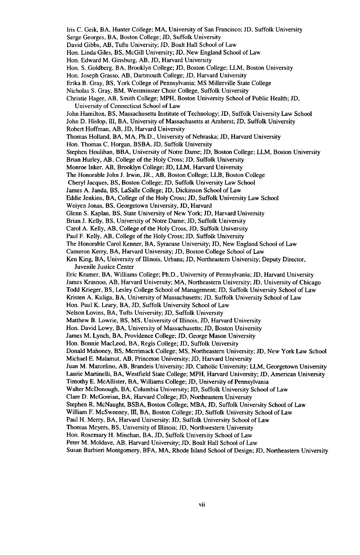- Iris C. Geik, BA, Hunter College; MA, University of San Francisco; **JD,** Suffolk University
- Serge Georges, BA, Boston College; JD, Suffolk University
- David Gibbs, AB, Tufts University; **JD,** Boalt Hall School of Law
- Hon. Linda Giles, BS, McGill University; JD, New England School of Law
- Hon. Edward M. Ginsburg, AB, JD, Harvard University
- Hon. S. Goldberg, BA, Brooklyn College; JD, Boston College; LLM, Boston University
- Hon. Joseph Grasso, AB, Dartmouth College; **JD,** Harvard University
- Erika B. Gray, BS, York College of Pennsylvania; MS Millerville State College
- Nicholas S. Gray, BM, Westminster Choir College, Suffolk University
- Christie Hager, AB, Smith College; MPH, Boston University School of Public Health; JD, University of Connecticut School of Law
- John Hamilton, BS, Massachusetts Institute of Technology; JD, Suffolk University Law School
- John D. Hislop, III, BA, University of Massachusetts at Amherst; JD, Suffolk University
- Robert Hoffman, AB, JD, Harvard University
- Thomas Holland, BA, MA, Ph.D., University of Nebraska; JD, Harvard University
- Hon. Thomas C. Horgan, BSBA, JD, Suffolk University
- Stephen Houlihan, BBA, University of Notre Dame; JD, Boston College; LLM, Boston University
- Brian Hurley, AB, College of the Holy Cross; **JD,** Suffolk University
- Monroe Inker, AB, Brooklyn College; JD, LLM, Harvard University
- The Honorable John J. Irwin, JR., AB, Boston College; LLB, Boston College
- Cheryl Jacques, BS, Boston College; **JD,** Suffolk University Law School
- James A. Janda, BS, LaSalle College; JD, Dickinson School of Law
- Eddie Jenkins, BA, College of the Holy Cross; JD, Suffolk University Law School
- Weiyen Jonas, BS, Georgetown University, JD, Harvard
- Glenn S. Kaplan, BS, State University of New York; JD, Harvard University
- Brian J. Kelly, BS, University of Notre Dame; JD, Suffolk University
- Carol A. Kelly, AB, College of the Holy Cross, JD, Suffolk University
- Paul F. Kelly, *AB,* College of the Holy Cross; **JD,** Suffolk University
- The Honorable Carol Kenner, BA, Syracuse University; JD, New England School of Law
- Cameron Kerry, BA, Harvard University; JD, Boston College School of Law
- Ken King, BA, University of Illinois, Urbana; **JD,** Northeastern University; Deputy Director, Juvenile Justice Center
- Eric Kramer, BA, Williams College; Ph.D., University of Pennsylvania; JD, Harvard University James Krasnoo, AB, Harvard University; MA, Northeastern University; JD, University of Chicago Todd Krieger, BS, Lesley College School of Management; JD, Suffolk University School of Law
- Kristen **A.** Kuliga, BA, University of Massachusetts; **JD,** Suffolk University School of Law
- Hon. Paul K. Leary, BA, JD, Suffolk University School of Law
- Nelson Lovins, BA, Tufts University; JD, Suffolk University
- Matthew B. Lowrie, BS, **MS,** University of Illinois, JD, Harvard University
- Hon. David Lowy, BA, University of Massachusetts; **JD,** Boston University
- James M. Lynch, BA, Providence College; **JD,** George Mason University
- Hon. Bonnie MacLeod, BA, Regis College; **JD,** Suffolk University
- Donald Mahoney, BS, Merrimack College; **MS,** Northeastern University; JD, New York Law School Michael E. Malamut, AB, Princeton University; **JD,** Harvard University
- Juan M. Marcelino, AB, Brandeis University; **JD,** Catholic University; LLM, Georgetown University
- Laurie Martinelli, BA, Westfield State College; MPH, Harvard University; **JD,** American University
- Timothy E. McAllister, BA, Williams College; JD, University of Pennsylvania
- Walter McDonough, BA, Columbia University; **JD,** Suffolk University School of Law
- Clare D. McGorrian, BA, Harvard College; JD, Northeastern University
- Stephen R. McNaught, BSBA, Boston College; MBA, JD, Suffolk University School of Law
- William F. McSweeney, III, BA, Boston College; JD, Suffolk University School of Law
- Paul H. Merry, BA, Harvard University; **ID,** Suffolk University School of Law
- Thomas Meyers, BS, University of Blinois; JD, Northwestern University
- Hon. Rosemary H. Minehan, BA, JD, Suffolk University School of Law
- Peter M. Moldave, AB, Harvard University; **JD,** Boalt Hall School of Law
- Susan Barbieri Montgomery, BFA, MA, Rhode Island School of Design; JD, Northeastern University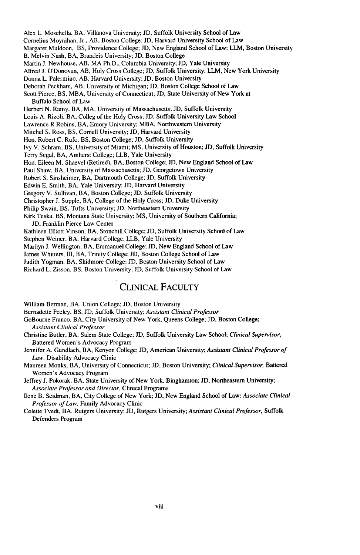Alex L. Moschella, BA, Villanova University; JD, Suffolk University School of Law Cornelius Moynihan, Jr., AB, Boston College; JD, Harvard University School of Law Margaret Muldoon, BS, Providence College; **JD,** New England School of Law; LLM, Boston University B. Melvin Nash, BA, Brandeis University; JD, Boston College Martin **J.** Newhouse, AB, MA Ph.D., Columbia University; JD, Yale University Alfred J. O'Donovan, AB, Holy Cross College; JD, Suffolk University; LLM, New York University Donna L. Palermino, AB, Harvard University; **JD,** Boston University Deborah Peckham, AB, University of Michigan; JD, Boston College School of Law Scott Pierce, BS, MBA, University of Connecticut; JD, State University of New York at Buffalo School of Law Herbert N. Ramy, BA, MA, University of Massachusetts; JD, Suffolk University Louis A. Rizoli, BA, Colleg of the Holy Cross; JD, Suffolk University Law School Lawrence R Robins, BA, Emory University; MBA, Northwestern University Mitchel S. Ross, BS, Cornell University; **JD,** Harvard University Hon. Robert C. Rufo, BS, Boston College; JD, Suffolk University Ivy V. Schram, BS, University of Miami; **MS,** University of Houston; **JD,** Suffolk University Terry Segal, BA, Amherst College; LLB, Yale University Hon. Eileen M. Shaevel (Retired), BA, Boston College; **JD,** New England School of Law Paul Shaw, BA, University of Massachusetts; JD, Georgetown University Robert S. Sinsheimer, BA, Dartmouth College; **ID,** Suffolk University Edwin E. Smith, BA, Yale University; **JD,** Harvard University Gregory V. Sullivan, BA, Boston College; JD, Suffolk University Christopher J. Supple, BA, College of the Holy Cross; **JD,** Duke University Philip Swain, BS, Tufts University; JD, Northeastern University Kirk Teska, BS, Montana State University; **MS,** University of Southern California; **JD,** Franklin Pierce Law Center Kathleen Elliott Vinson, BA, Stonehill College; **JD,** Suffolk University School of Law Stephen Weiner, BA, Harvard College, LLB, Yale University Marilyn **J.** Wellington, BA, Emmanuel College; JD, New England School of Law James Whitters, III, BA, Trinity College; JD, Boston College School of Law Judith Yogman, BA, Skidmore College; **JD,** Boston University School of Law

Richard L. Zisson. BS, Boston University; **JD,** Suffolk University School of Law

#### CLINICAL FACULTY

William Berman, BA, Union College; **JD,** Boston University

Bernadette Feeley, BS, **JD,** Suffolk University; *Assistant Clinical Professor*

GoBourne Franco, BA, City University of New York, Queens College; **JD,** Boston College; *Assistant Clinical Professor*

Christine Butler, BA, Salem State College; **JD,** Suffolk University Law School; *Clinical Supervisor,* Battered Women's Advocacy Program

Jennifer A. Gundlach, BA, Kenyon College; **JD,** American University; *Assistant Clinical Professor of Law,* Disability Advocacy Clinic

Maureen Monks, BA, University of Connecticut; **JD,** Boston University; *Clinical Supervisor,* Battered Women's Advocacy Program

Jeffrey **J.** Pokorak, BA, State University of New York, Binghamton; **JD,** Northeastern University; *Associate Professor and Director,* Clinical Programs

Ilene B. Seidman, BA, City College of New York; **JD,** New England School of Law; *Associate Clinical Professor of Law,* Family Advocacy Clinic

Colette Tvedt, BA, Rutgers University; **JD,** Rutgers University; *Assistant Clinical Professor,* Suffolk Defenders Program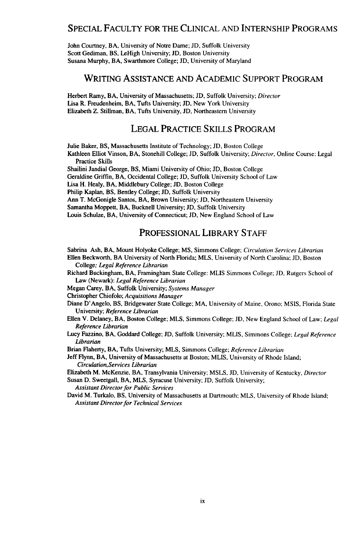#### SPECIAL FACULTY FOR THE CLINICAL AND INTERNSHIP PROGRAMS

John Courtney, BA, University of Notre Dame; **JD,** Suffolk University Scott Gediman, BS, LeHigh University; **JD,** Boston University Susana Murphy, BA, Swarthmore College; JD, University of Maryland

#### WRITING ASSISTANCE AND ACADEMIC SUPPORT PROGRAM

Herbert Ramy, BA, University of Massachusetts; JD, Suffolk University; Director Lisa R. Freudenheim, BA, Tufts University; JD, New York University Elizabeth Z. Stillman, BA, Tufts University, JD, Northeastern University

#### LEGAL PRACTICE SKILLS PROGRAM

Julie Baker, BS, Massachusetts Institute of Technology; JD, Boston College

Kathleen Elliot Vinson, BA, Stonehill College; **JD,** Suffolk University; Director, Online Course: Legal Practice Skills

Shailini Jandial George, BS, Miami University of Ohio; **JD,** Boston College

Geraldine Griffin, BA, Occidental College; JD, Suffolk University School of Law

Lisa H. Healy, BA, Middlebury College; JD, Boston College

Philip Kaplan, BS, Bentley College; JD, Suffolk University

Ann T. McGonigle Santos, BA, Brown University; **JD,** Northeastern University

Samantha Moppett, BA, Bucknell University; **JD,** Suffolk University

Louis Schulze, BA, University of Connecticut; JD, New England School of Law

#### PROFESSIONAL LIBRARY STAFF

Sabrina Ash, BA, Mount Holyoke College; **MS,** Simmons College; Circulation *Services Librarian* Ellen Beckworth, BA University of North Florida; MLS, University of North Carolina; JD, Boston College; *Legal Reference Librarian*

Richard Buckingham, BA, Framingham State College: MLIS Simmons College; *JD,* Rutgers School of Law (Newark): *Legal Reference Librarian*

Megan Carey, BA, Suffolk University; *Systems Manager*

Christopher Chiofolo; *Acquisitions Manager*

Diane D'Angelo, BS, Bridgewater State College; MA, University of Maine, Orono; MSIS, Florida State University; *Reference Librarian*

- Ellen V. Delaney, BA, Boston College; MLS, Simmons College; JD, New England School of Law; *Legal Reference Librarian*
- Lucy Fazzino, BA, Goddard College; **JD,** Suffolk University; MLIS, Simmons College; *Legal Reference Librarian*

Brian Flaherty, BA, Tufts University; MLS, Simmons College; *Reference Librarian*

Jeff Flynn, BA, University of Massachusetts at Boston; MLIS, University of Rhode Island; *Circulation, Services Librarian*

Elizabeth M. McKenzie, BA, Transylvania University; MSLS, **JD,** University of Kentucky, *Director*

Susan D. Sweetgall, BA. MLS, Syracuse University; **JD,** Suffolk University; *Assistant Director for Public Services*

David M. Turkalo, BS, University of Massachusetts at Dartmouth; MLS, University of Rhode Island; *Assistant Director for Technical Services*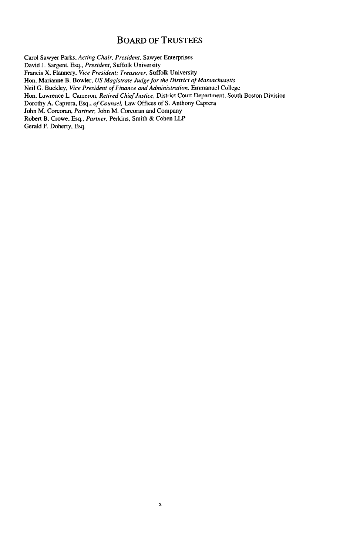#### BOARD OF **TRUSTEES**

Carol Sawyer Parks, *Acting Chair, President,* Sawyer Enterprises David J. Sargent, Esq., *President,* Suffolk University Francis X. Flannery, *Vice President; Treasurer,* Suffolk University Hon. Marianne B. Bowler, *US Magistrate Judge for the District of Massachusetts* Neil G. Buckley, *Vice President of Finance and Administration,* Emmanuel College Hon. Lawrence L. Cameron, *Retired Chief Justice,* District Court Department, South Boston Division Dorothy A. Caprera, Esq., *of Counsel,* Law Offices of S. Anthony Caprera John M. Corcoran, *Partner,* John M. Corcoran and Company Robert B. Crowe, Esq., *Partner,* Perkins, Smith & Cohen LLP Gerald F. Doherty, Esq.